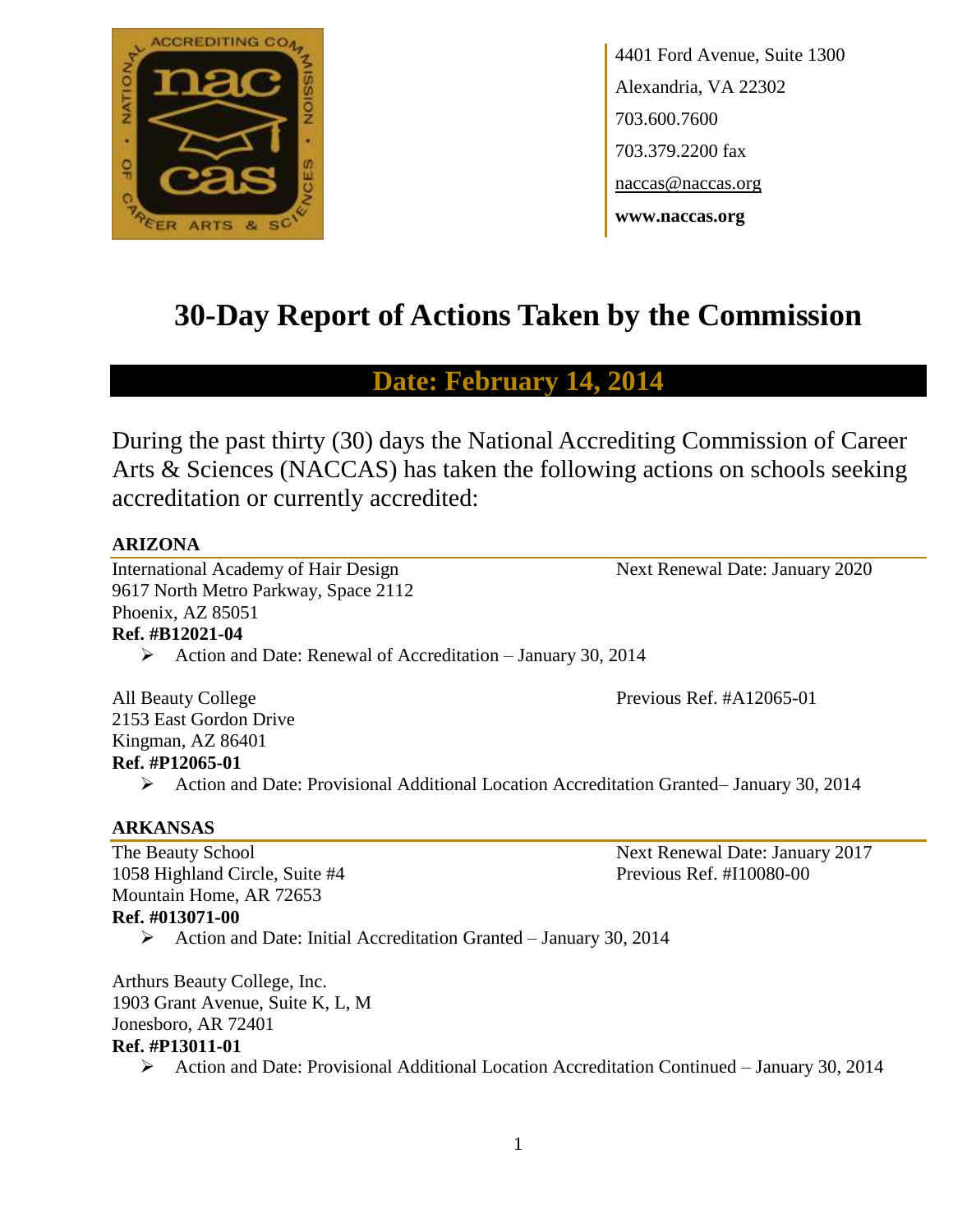

4401 Ford Avenue, Suite 1300 Alexandria, VA 22302 703.600.7600 703.379.2200 fax naccas@naccas.org **www.naccas.org**

# **30-Day Report of Actions Taken by the Commission**

# **Date: February 14, 2014**

During the past thirty (30) days the National Accrediting Commission of Career Arts & Sciences (NACCAS) has taken the following actions on schools seeking accreditation or currently accredited:

#### **ARIZONA**

International Academy of Hair Design Next Renewal Date: January 2020 9617 North Metro Parkway, Space 2112 Phoenix, AZ 85051 **Ref. #B12021-04**

Action and Date: Renewal of Accreditation – January 30, 2014

All Beauty College **Previous Ref. #A12065-01** 2153 East Gordon Drive Kingman, AZ 86401 **Ref. #P12065-01**

Action and Date: Provisional Additional Location Accreditation Granted– January 30, 2014

#### **ARKANSAS**

1058 Highland Circle, Suite #4 Previous Ref. #I10080-00 Mountain Home, AR 72653 **Ref. #013071-00**

The Beauty School Next Renewal Date: January 2017

Action and Date: Initial Accreditation Granted – January 30, 2014

Arthurs Beauty College, Inc. 1903 Grant Avenue, Suite K, L, M Jonesboro, AR 72401 **Ref. #P13011-01**

 $\triangleright$  Action and Date: Provisional Additional Location Accreditation Continued – January 30, 2014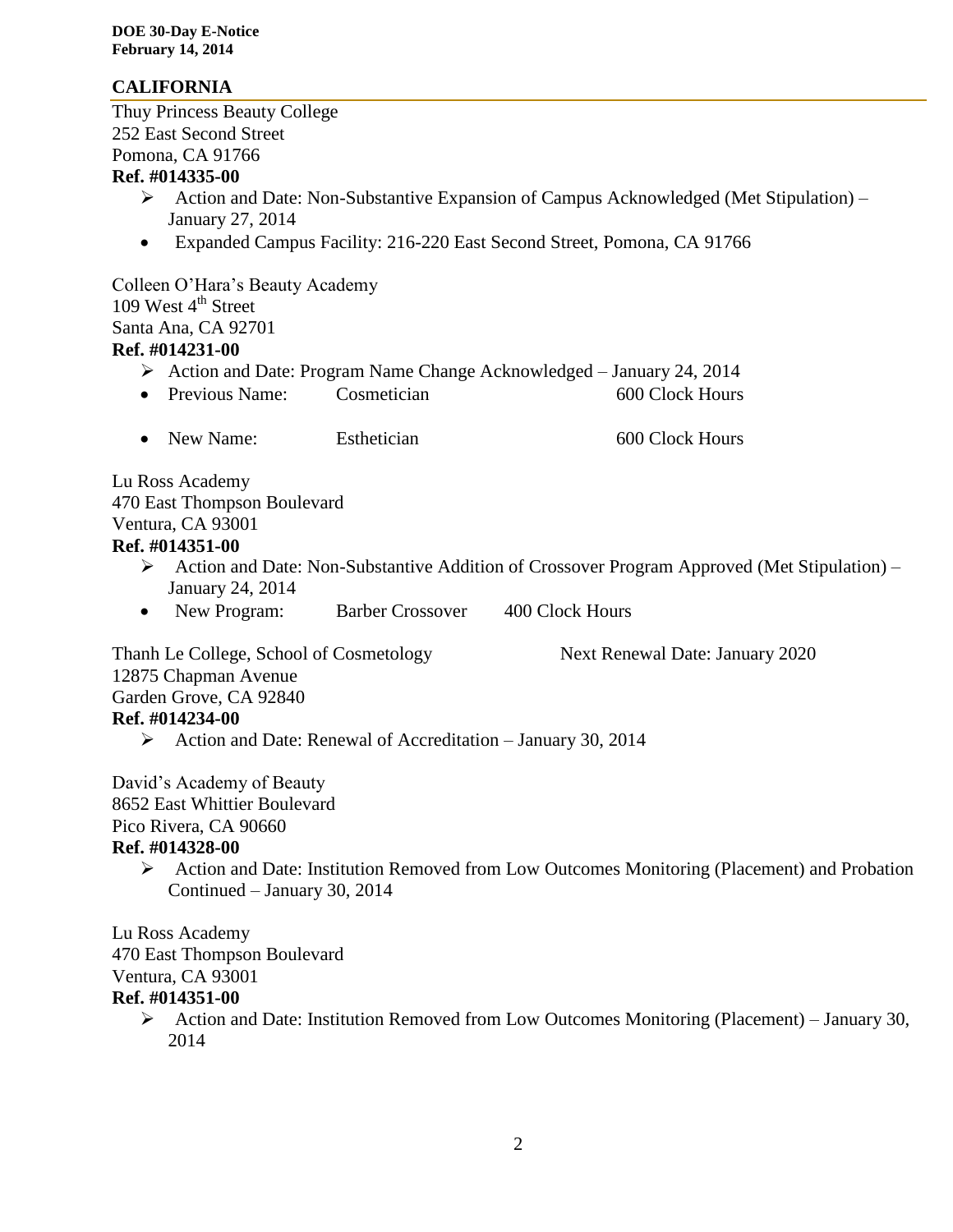## **CALIFORNIA**

Thuy Princess Beauty College 252 East Second Street Pomona, CA 91766 **Ref. #014335-00** Action and Date: Non-Substantive Expansion of Campus Acknowledged (Met Stipulation) – January 27, 2014 Expanded Campus Facility: 216-220 East Second Street, Pomona, CA 91766 Colleen O'Hara's Beauty Academy 109 West  $4<sup>th</sup>$  Street Santa Ana, CA 92701 **Ref. #014231-00** Action and Date: Program Name Change Acknowledged – January 24, 2014 • Previous Name: Cosmetician 600 Clock Hours • New Name: Esthetician 600 Clock Hours Lu Ross Academy 470 East Thompson Boulevard Ventura, CA 93001 **Ref. #014351-00** Action and Date: Non-Substantive Addition of Crossover Program Approved (Met Stipulation) – January 24, 2014 • New Program: Barber Crossover 400 Clock Hours Thanh Le College, School of Cosmetology Next Renewal Date: January 2020 12875 Chapman Avenue Garden Grove, CA 92840 **Ref. #014234-00** Action and Date: Renewal of Accreditation – January 30, 2014 David's Academy of Beauty 8652 East Whittier Boulevard Pico Rivera, CA 90660 **Ref. #014328-00** Action and Date: Institution Removed from Low Outcomes Monitoring (Placement) and Probation Continued – January 30, 2014 Lu Ross Academy 470 East Thompson Boulevard Ventura, CA 93001 **Ref. #014351-00**

 Action and Date: Institution Removed from Low Outcomes Monitoring (Placement) – January 30, 2014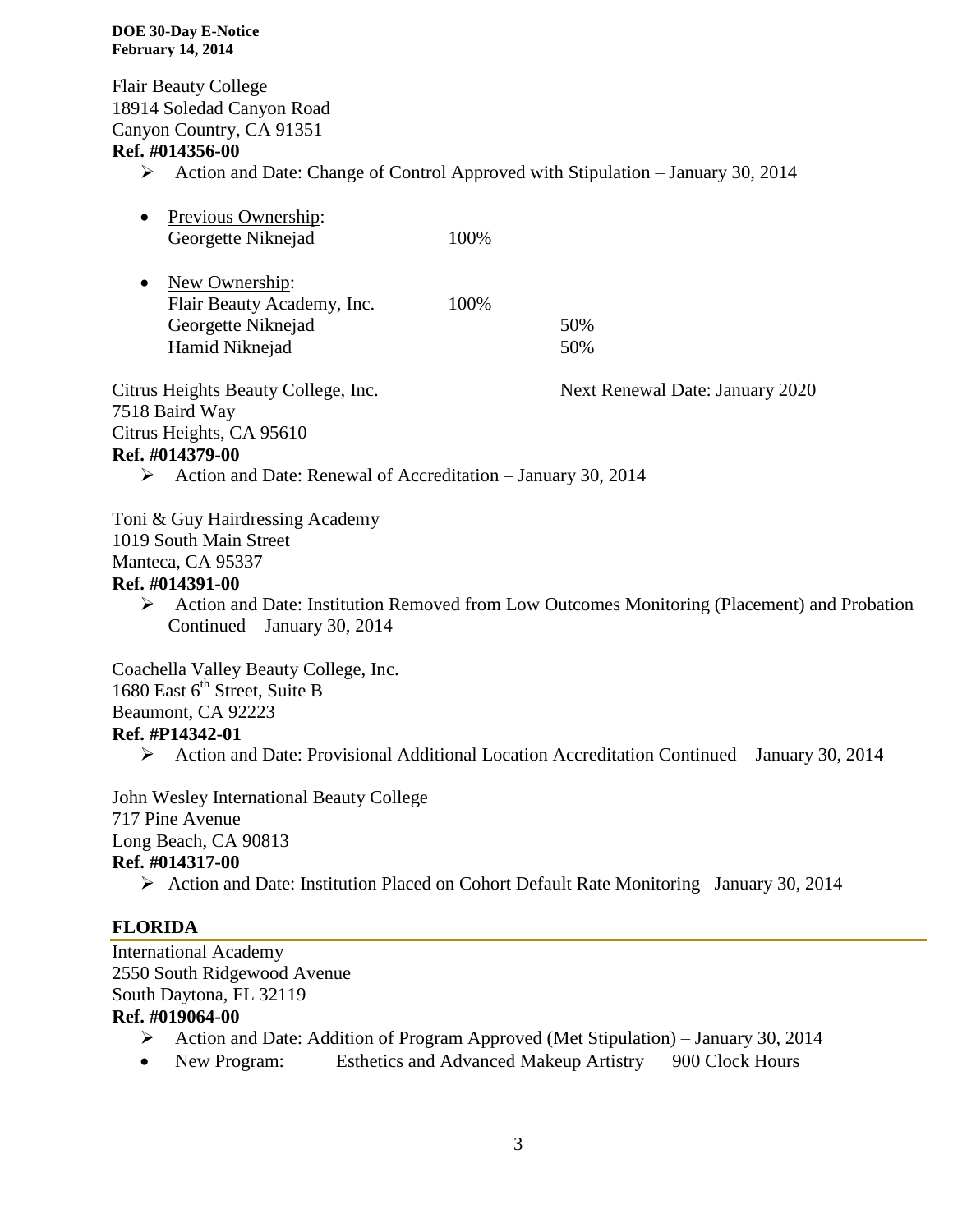#### **DOE 30-Day E-Notice February 14, 2014**

Flair Beauty College 18914 Soledad Canyon Road Canyon Country, CA 91351

## **Ref. #014356-00**

 $\triangleright$  Action and Date: Change of Control Approved with Stipulation – January 30, 2014

| Previous Ownership:<br>$\bullet$<br>Georgette Niknejad                          | 100% |                                 |
|---------------------------------------------------------------------------------|------|---------------------------------|
| New Ownership:<br>$\bullet$<br>Flair Beauty Academy, Inc.<br>Georgette Niknejad | 100% | 50%                             |
| Hamid Niknejad                                                                  |      | 50%                             |
| Citrus Heights Beauty College, Inc.<br>7518 Baird Way                           |      | Next Renewal Date: January 2020 |
| Citrus Heights, CA 95610                                                        |      |                                 |
| Ref. #014379-00                                                                 |      |                                 |
| $\land$ Action and Data: Denomal of Aconoditation Ignuary 20, 2014              |      |                                 |

 $\triangleright$  Action and Date: Renewal of Accreditation – January 30, 2014

Toni & Guy Hairdressing Academy 1019 South Main Street Manteca, CA 95337 **Ref. #014391-00**

 Action and Date: Institution Removed from Low Outcomes Monitoring (Placement) and Probation Continued – January 30, 2014

Coachella Valley Beauty College, Inc. 1680 East  $6<sup>th</sup>$  Street, Suite B Beaumont, CA 92223 **Ref. #P14342-01**

Action and Date: Provisional Additional Location Accreditation Continued – January 30, 2014

John Wesley International Beauty College 717 Pine Avenue Long Beach, CA 90813 **Ref. #014317-00**

Action and Date: Institution Placed on Cohort Default Rate Monitoring– January 30, 2014

## **FLORIDA**

International Academy 2550 South Ridgewood Avenue South Daytona, FL 32119

## **Ref. #019064-00**

- Action and Date: Addition of Program Approved (Met Stipulation) January 30, 2014
- New Program: Esthetics and Advanced Makeup Artistry 900 Clock Hours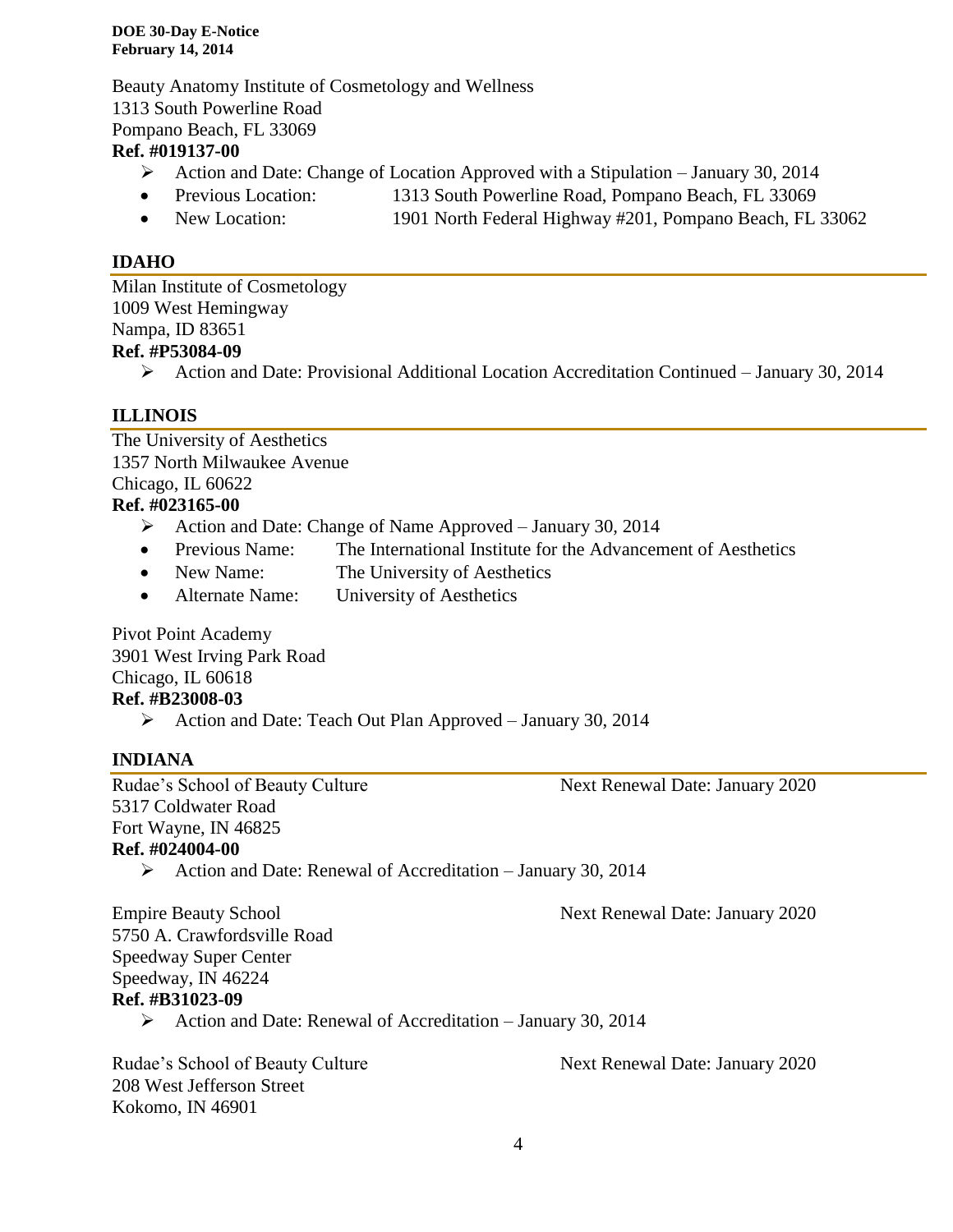**DOE 30-Day E-Notice February 14, 2014**

Beauty Anatomy Institute of Cosmetology and Wellness 1313 South Powerline Road Pompano Beach, FL 33069

### **Ref. #019137-00**

- Action and Date: Change of Location Approved with a Stipulation January 30, 2014
- Previous Location: 1313 South Powerline Road, Pompano Beach, FL 33069
- New Location: 1901 North Federal Highway #201, Pompano Beach, FL 33062

## **IDAHO**

Milan Institute of Cosmetology 1009 West Hemingway Nampa, ID 83651 **Ref. #P53084-09**

 $\triangleright$  Action and Date: Provisional Additional Location Accreditation Continued – January 30, 2014

## **ILLINOIS**

The University of Aesthetics 1357 North Milwaukee Avenue Chicago, IL 60622 **Ref. #023165-00**

- Action and Date: Change of Name Approved January 30, 2014
- Previous Name: The International Institute for the Advancement of Aesthetics
- New Name: The University of Aesthetics
- Alternate Name: University of Aesthetics

Pivot Point Academy 3901 West Irving Park Road Chicago, IL 60618

# **Ref. #B23008-03**

Action and Date: Teach Out Plan Approved – January 30, 2014

## **INDIANA**

Rudae's School of Beauty Culture Next Renewal Date: January 2020 5317 Coldwater Road Fort Wayne, IN 46825 **Ref. #024004-00**

- 
- Action and Date: Renewal of Accreditation January 30, 2014

Empire Beauty School Next Renewal Date: January 2020 5750 A. Crawfordsville Road Speedway Super Center Speedway, IN 46224 **Ref. #B31023-09**

Action and Date: Renewal of Accreditation – January 30, 2014

Rudae's School of Beauty Culture Next Renewal Date: January 2020 208 West Jefferson Street Kokomo, IN 46901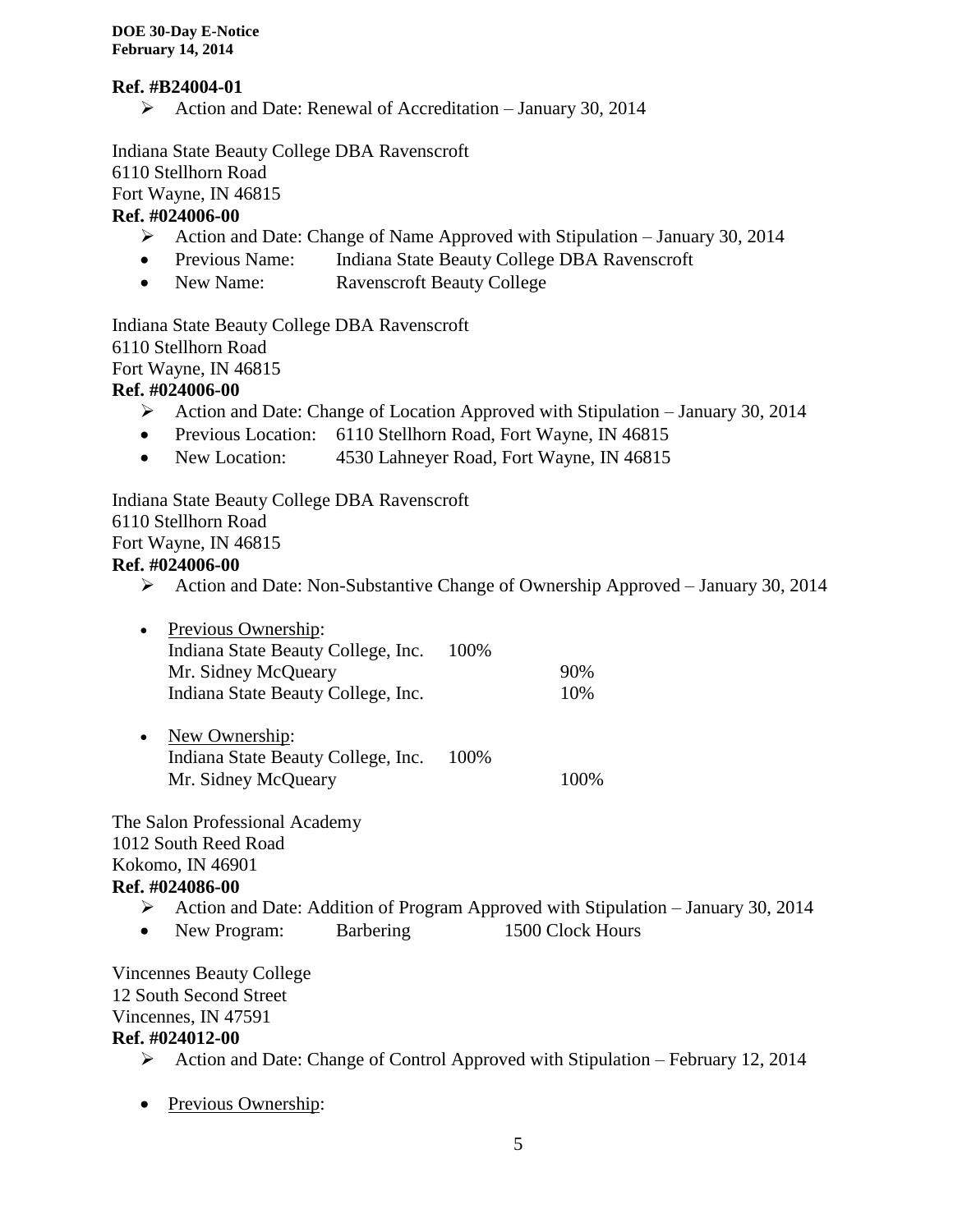## **Ref. #B24004-01**

Action and Date: Renewal of Accreditation – January 30, 2014

Indiana State Beauty College DBA Ravenscroft 6110 Stellhorn Road Fort Wayne, IN 46815 **Ref. #024006-00**

- Action and Date: Change of Name Approved with Stipulation January 30, 2014
- Previous Name: Indiana State Beauty College DBA Ravenscroft
- New Name: Ravenscroft Beauty College

Indiana State Beauty College DBA Ravenscroft 6110 Stellhorn Road Fort Wayne, IN 46815 **Ref. #024006-00**

- Action and Date: Change of Location Approved with Stipulation January 30, 2014
- Previous Location: 6110 Stellhorn Road, Fort Wayne, IN 46815
- New Location: 4530 Lahneyer Road, Fort Wayne, IN 46815

Indiana State Beauty College DBA Ravenscroft 6110 Stellhorn Road Fort Wayne, IN 46815

## **Ref. #024006-00**

Action and Date: Non-Substantive Change of Ownership Approved – January 30, 2014

| Previous Ownership:<br>$\bullet$   |      |     |
|------------------------------------|------|-----|
| Indiana State Beauty College, Inc. | 100% |     |
| Mr. Sidney McQueary                |      | 90% |
| Indiana State Beauty College, Inc. |      | 10% |

• New Ownership: Indiana State Beauty College, Inc. 100% Mr. Sidney McQueary 100%

The Salon Professional Academy 1012 South Reed Road Kokomo, IN 46901 **Ref. #024086-00**

- Action and Date: Addition of Program Approved with Stipulation January 30, 2014
- New Program: Barbering 1500 Clock Hours

Vincennes Beauty College 12 South Second Street Vincennes, IN 47591 **Ref. #024012-00**

- Action and Date: Change of Control Approved with Stipulation February 12, 2014
- Previous Ownership: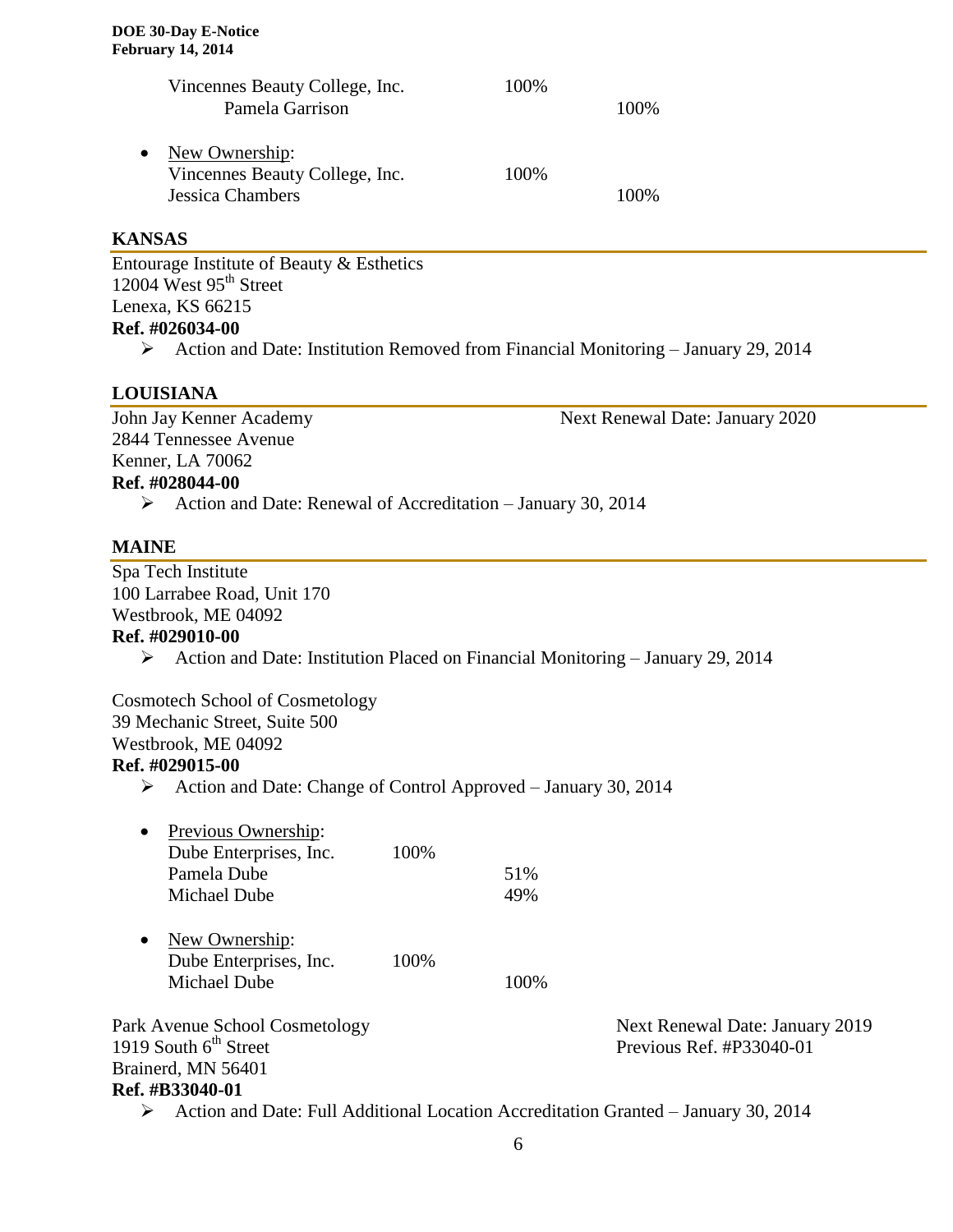|           | Vincennes Beauty College, Inc.<br>Pamela Garrison                           | 100%  | 100\% |
|-----------|-----------------------------------------------------------------------------|-------|-------|
| $\bullet$ | New Ownership:<br>Vincennes Beauty College, Inc.<br><b>Jessica Chambers</b> | 100\% | 100%  |

### **KANSAS**

Entourage Institute of Beauty & Esthetics 12004 West  $95<sup>th</sup>$  Street Lenexa, KS 66215 **Ref. #026034-00**

 $\triangleright$  Action and Date: Institution Removed from Financial Monitoring – January 29, 2014

## **LOUISIANA**

John Jay Kenner Academy Next Renewal Date: January 2020 2844 Tennessee Avenue Kenner, LA 70062 **Ref. #028044-00** Action and Date: Renewal of Accreditation – January 30, 2014

#### **MAINE**

Spa Tech Institute 100 Larrabee Road, Unit 170 Westbrook, ME 04092 **Ref. #029010-00**  $\triangleright$  Action and Date: Institution Placed on Financial Monitoring – January 29, 2014 Cosmotech School of Cosmetology 39 Mechanic Street, Suite 500 Westbrook, ME 04092 **Ref. #029015-00** Action and Date: Change of Control Approved – January 30, 2014 • Previous Ownership: Dube Enterprises, Inc. 100% Pamela Dube 51% Michael Dube 49% • New Ownership: Dube Enterprises, Inc. 100% Michael Dube 100% Park Avenue School Cosmetology<br>
1919 South 6<sup>th</sup> Street<br>
1919 South 6<sup>th</sup> Street<br>
1919 South 6<sup>th</sup> Street Previous Ref.  $#P33040-01$ Brainerd, MN 56401 **Ref. #B33040-01**

Action and Date: Full Additional Location Accreditation Granted – January 30, 2014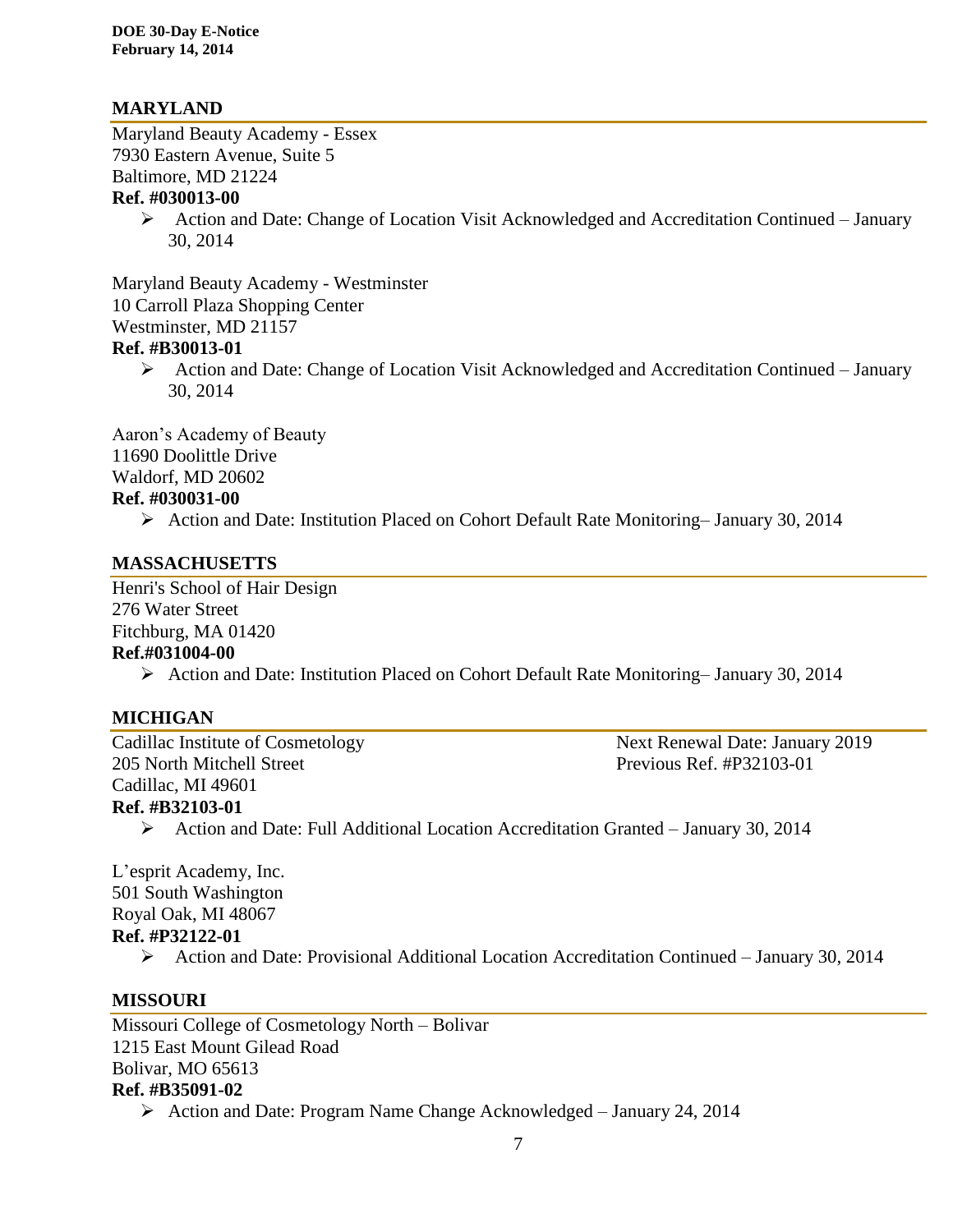## **MARYLAND**

Maryland Beauty Academy - Essex 7930 Eastern Avenue, Suite 5 Baltimore, MD 21224 **Ref. #030013-00**

> Action and Date: Change of Location Visit Acknowledged and Accreditation Continued – January 30, 2014

Maryland Beauty Academy - Westminster 10 Carroll Plaza Shopping Center Westminster, MD 21157

## **Ref. #B30013-01**

 Action and Date: Change of Location Visit Acknowledged and Accreditation Continued – January 30, 2014

Aaron's Academy of Beauty 11690 Doolittle Drive Waldorf, MD 20602

#### **Ref. #030031-00**

Action and Date: Institution Placed on Cohort Default Rate Monitoring– January 30, 2014

## **MASSACHUSETTS**

Henri's School of Hair Design 276 Water Street Fitchburg, MA 01420

## **Ref.#031004-00**

Action and Date: Institution Placed on Cohort Default Rate Monitoring– January 30, 2014

## **MICHIGAN**

205 North Mitchell Street Previous Ref. #P32103-01 Cadillac, MI 49601

Cadillac Institute of Cosmetology Next Renewal Date: January 2019

## **Ref. #B32103-01**

Action and Date: Full Additional Location Accreditation Granted – January 30, 2014

L'esprit Academy, Inc. 501 South Washington Royal Oak, MI 48067 **Ref. #P32122-01**

Action and Date: Provisional Additional Location Accreditation Continued – January 30, 2014

## **MISSOURI**

Missouri College of Cosmetology North – Bolivar 1215 East Mount Gilead Road Bolivar, MO 65613 **Ref. #B35091-02**

 $\triangleright$  Action and Date: Program Name Change Acknowledged – January 24, 2014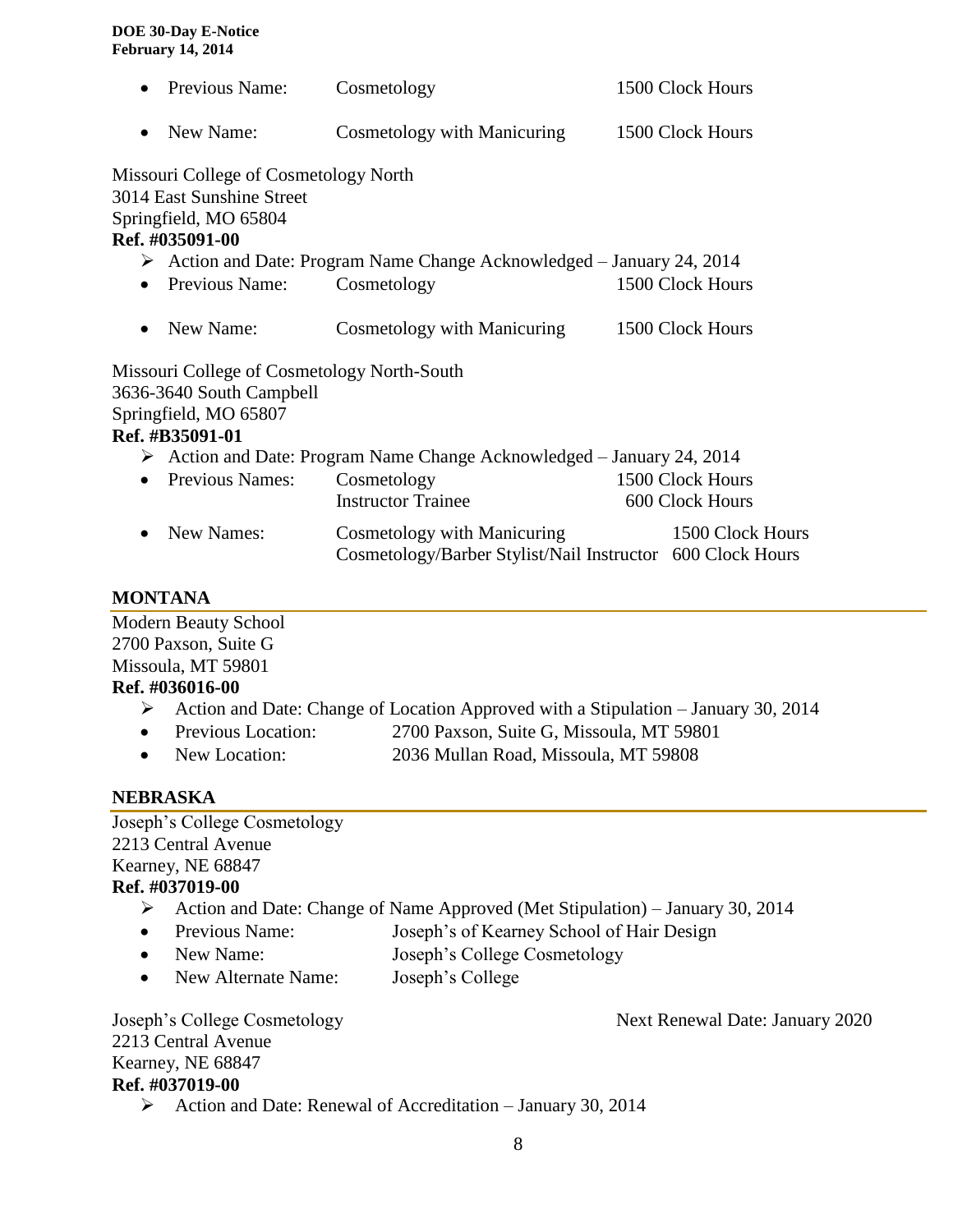|                                                                                       | Previous Name:                                                                                                             | Cosmetology                                                                               | 1500 Clock Hours                    |  |
|---------------------------------------------------------------------------------------|----------------------------------------------------------------------------------------------------------------------------|-------------------------------------------------------------------------------------------|-------------------------------------|--|
| $\bullet$                                                                             | New Name:                                                                                                                  | Cosmetology with Manicuring                                                               | 1500 Clock Hours                    |  |
|                                                                                       | Missouri College of Cosmetology North<br>3014 East Sunshine Street<br>Springfield, MO 65804<br>Ref. #035091-00             |                                                                                           |                                     |  |
|                                                                                       |                                                                                                                            | > Action and Date: Program Name Change Acknowledged - January 24, 2014                    |                                     |  |
|                                                                                       | Previous Name:                                                                                                             | Cosmetology                                                                               | 1500 Clock Hours                    |  |
|                                                                                       | New Name:                                                                                                                  | <b>Cosmetology with Manicuring</b>                                                        | 1500 Clock Hours                    |  |
|                                                                                       | Missouri College of Cosmetology North-South<br>3636-3640 South Campbell<br>Springfield, MO 65807<br><b>Ref. #B35091-01</b> |                                                                                           |                                     |  |
| $\triangleright$ Action and Date: Program Name Change Acknowledged – January 24, 2014 |                                                                                                                            |                                                                                           |                                     |  |
|                                                                                       | <b>Previous Names:</b>                                                                                                     | Cosmetology<br><b>Instructor Trainee</b>                                                  | 1500 Clock Hours<br>600 Clock Hours |  |
|                                                                                       | New Names:                                                                                                                 | Cosmetology with Manicuring<br>Cosmetology/Barber Stylist/Nail Instructor 600 Clock Hours | 1500 Clock Hours                    |  |

#### **MONTANA**

Modern Beauty School 2700 Paxson, Suite G Missoula, MT 59801 **Ref. #036016-00**

- Action and Date: Change of Location Approved with a Stipulation January 30, 2014
- Previous Location: 2700 Paxson, Suite G, Missoula, MT 59801
- New Location: 2036 Mullan Road, Missoula, MT 59808

## **NEBRASKA**

Joseph's College Cosmetology 2213 Central Avenue Kearney, NE 68847 **Ref. #037019-00** Action and Date: Change of Name Approved (Met Stipulation) – January 30, 2014 • Previous Name: Joseph's of Kearney School of Hair Design • New Name: Joseph's College Cosmetology • New Alternate Name: Joseph's College

Joseph's College Cosmetology Next Renewal Date: January 2020 2213 Central Avenue Kearney, NE 68847 **Ref. #037019-00**

Action and Date: Renewal of Accreditation – January 30, 2014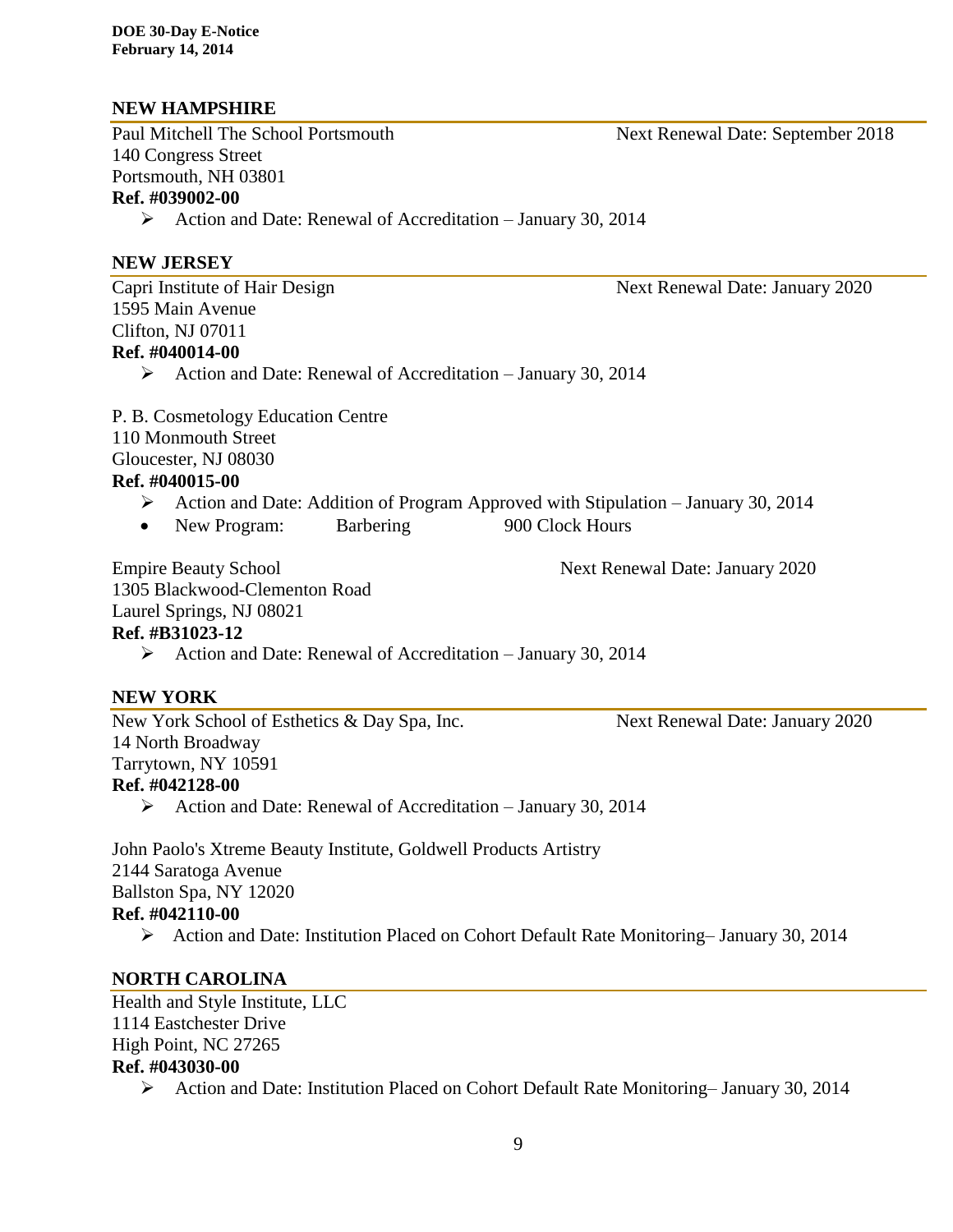## **NEW HAMPSHIRE**

Paul Mitchell The School Portsmouth Next Renewal Date: September 2018 140 Congress Street Portsmouth, NH 03801 **Ref. #039002-00**

Action and Date: Renewal of Accreditation – January 30, 2014

## **NEW JERSEY**

Capri Institute of Hair Design Next Renewal Date: January 2020 1595 Main Avenue Clifton, NJ 07011 **Ref. #040014-00**

 $\triangleright$  Action and Date: Renewal of Accreditation – January 30, 2014

P. B. Cosmetology Education Centre 110 Monmouth Street

Gloucester, NJ 08030

#### **Ref. #040015-00**

- $\triangleright$  Action and Date: Addition of Program Approved with Stipulation January 30, 2014
- New Program: Barbering 900 Clock Hours

Empire Beauty School Next Renewal Date: January 2020

1305 Blackwood-Clementon Road Laurel Springs, NJ 08021

#### **Ref. #B31023-12**

 $\triangleright$  Action and Date: Renewal of Accreditation – January 30, 2014

## **NEW YORK**

New York School of Esthetics & Day Spa, Inc. Next Renewal Date: January 2020 14 North Broadway Tarrytown, NY 10591 **Ref. #042128-00**

 $\triangleright$  Action and Date: Renewal of Accreditation – January 30, 2014

John Paolo's Xtreme Beauty Institute, Goldwell Products Artistry 2144 Saratoga Avenue Ballston Spa, NY 12020 **Ref. #042110-00**

Action and Date: Institution Placed on Cohort Default Rate Monitoring– January 30, 2014

## **NORTH CAROLINA**

Health and Style Institute, LLC 1114 Eastchester Drive High Point, NC 27265 **Ref. #043030-00**

Action and Date: Institution Placed on Cohort Default Rate Monitoring– January 30, 2014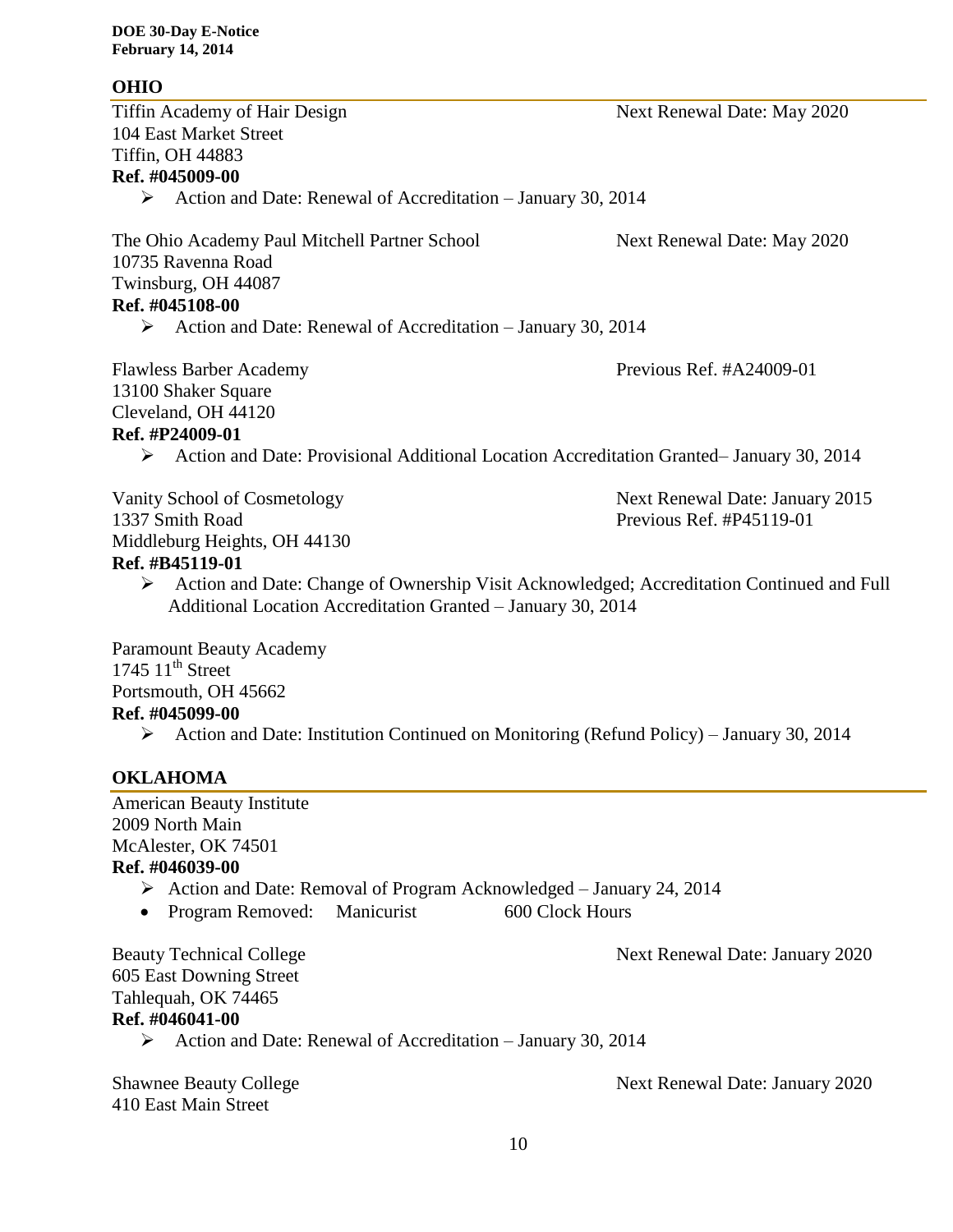## **OHIO**

Tiffin Academy of Hair Design Next Renewal Date: May 2020 104 East Market Street Tiffin, OH 44883 **Ref. #045009-00** Action and Date: Renewal of Accreditation – January 30, 2014 The Ohio Academy Paul Mitchell Partner School Next Renewal Date: May 2020 10735 Ravenna Road Twinsburg, OH 44087 **Ref. #045108-00** Action and Date: Renewal of Accreditation – January 30, 2014 Flawless Barber Academy Previous Ref. #A24009-01 13100 Shaker Square Cleveland, OH 44120 **Ref. #P24009-01** Action and Date: Provisional Additional Location Accreditation Granted– January 30, 2014 Vanity School of Cosmetology Next Renewal Date: January 2015 1337 Smith Road Previous Ref. #P45119-01 Middleburg Heights, OH 44130 **Ref. #B45119-01** Action and Date: Change of Ownership Visit Acknowledged; Accreditation Continued and Full Additional Location Accreditation Granted – January 30, 2014 Paramount Beauty Academy  $1745$   $11^{\text{th}}$  Street Portsmouth, OH 45662 **Ref. #045099-00**

Action and Date: Institution Continued on Monitoring (Refund Policy) – January 30, 2014

# **OKLAHOMA**

American Beauty Institute 2009 North Main McAlester, OK 74501 **Ref. #046039-00**

- Action and Date: Removal of Program Acknowledged January 24, 2014
- Program Removed: Manicurist 600 Clock Hours

Beauty Technical College **Next Renewal Date: January 2020** 

605 East Downing Street Tahlequah, OK 74465 **Ref. #046041-00**

 $\triangleright$  Action and Date: Renewal of Accreditation – January 30, 2014

410 East Main Street

Shawnee Beauty College **Next Renewal Date: January 2020**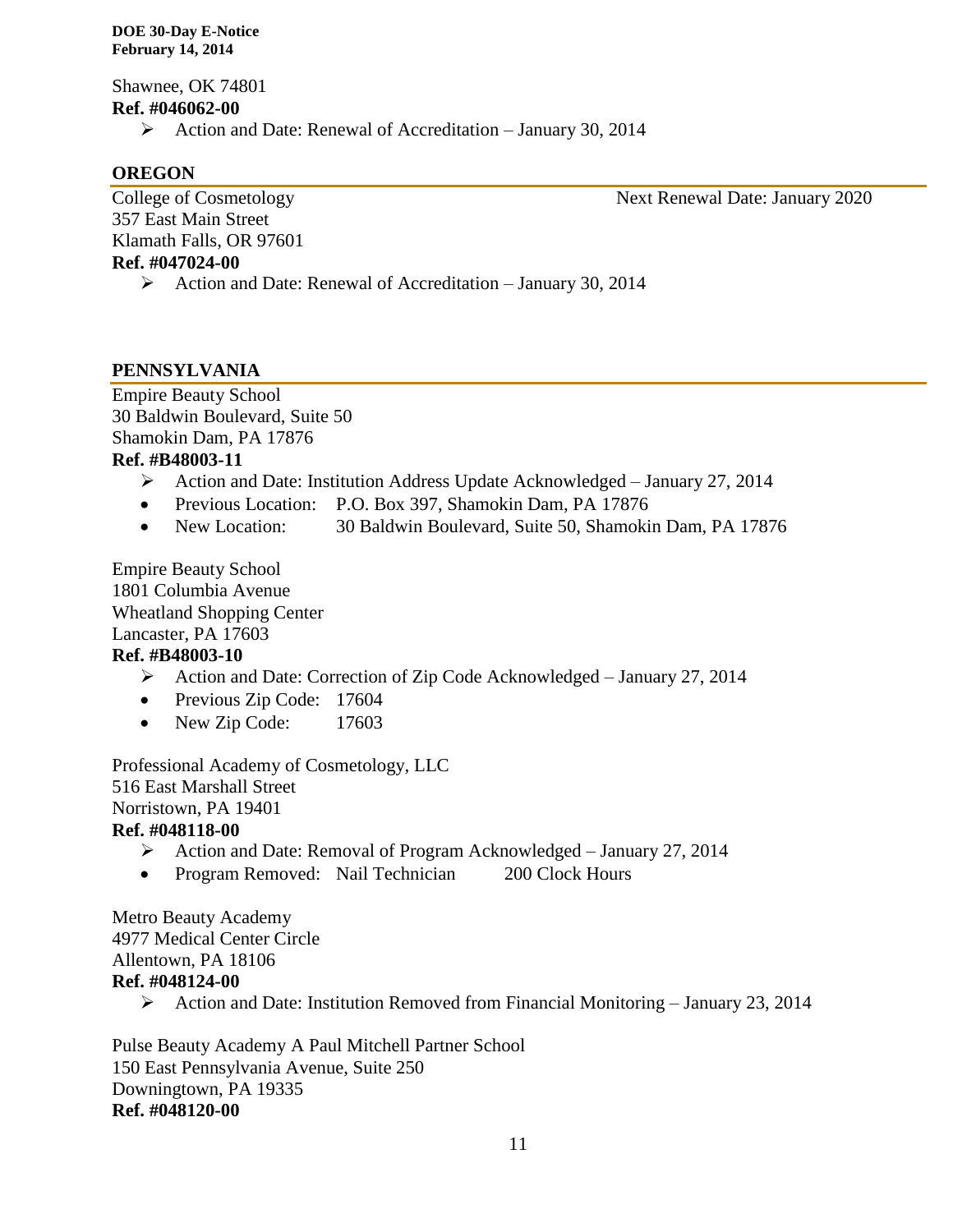Shawnee, OK 74801 **Ref. #046062-00**

 $\triangleright$  Action and Date: Renewal of Accreditation – January 30, 2014

## **OREGON**

357 East Main Street Klamath Falls, OR 97601 **Ref. #047024-00**

College of Cosmetology Next Renewal Date: January 2020

 $\triangleright$  Action and Date: Renewal of Accreditation – January 30, 2014

## **PENNSYLVANIA**

Empire Beauty School 30 Baldwin Boulevard, Suite 50 Shamokin Dam, PA 17876 **Ref. #B48003-11**

- Action and Date: Institution Address Update Acknowledged January 27, 2014
- Previous Location: P.O. Box 397, Shamokin Dam, PA 17876
- New Location: 30 Baldwin Boulevard, Suite 50, Shamokin Dam, PA 17876

Empire Beauty School 1801 Columbia Avenue Wheatland Shopping Center Lancaster, PA 17603 **Ref. #B48003-10**

- Action and Date: Correction of Zip Code Acknowledged January 27, 2014
- Previous Zip Code: 17604
- New Zip Code: 17603

Professional Academy of Cosmetology, LLC 516 East Marshall Street Norristown, PA 19401 **Ref. #048118-00**

- Action and Date: Removal of Program Acknowledged January 27, 2014
- Program Removed: Nail Technician 200 Clock Hours

Metro Beauty Academy 4977 Medical Center Circle Allentown, PA 18106 **Ref. #048124-00**

Action and Date: Institution Removed from Financial Monitoring – January 23, 2014

Pulse Beauty Academy A Paul Mitchell Partner School 150 East Pennsylvania Avenue, Suite 250 Downingtown, PA 19335 **Ref. #048120-00**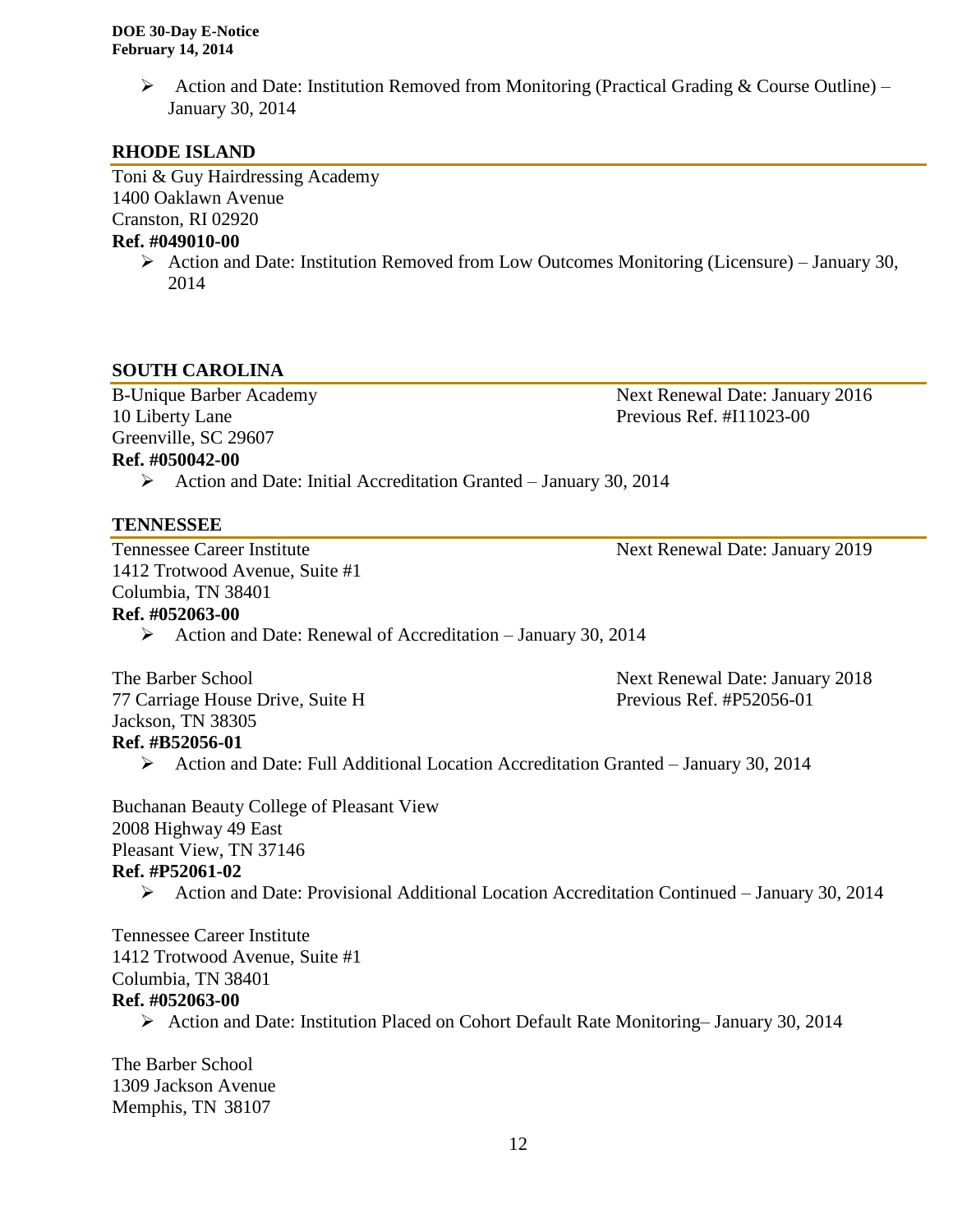Action and Date: Institution Removed from Monitoring (Practical Grading & Course Outline) – January 30, 2014

## **RHODE ISLAND**

Toni & Guy Hairdressing Academy 1400 Oaklawn Avenue Cranston, RI 02920

## **Ref. #049010-00**

 $\triangleright$  Action and Date: Institution Removed from Low Outcomes Monitoring (Licensure) – January 30, 2014

#### **SOUTH CAROLINA**

B-Unique Barber Academy Next Renewal Date: January 2016 Greenville, SC 29607 **Ref. #050042-00**

10 Liberty Lane **Previous Ref.** #I11023-00

Action and Date: Initial Accreditation Granted – January 30, 2014

#### **TENNESSEE**

1412 Trotwood Avenue, Suite #1 Columbia, TN 38401

Tennessee Career Institute Next Renewal Date: January 2019

## **Ref. #052063-00**

 $\triangleright$  Action and Date: Renewal of Accreditation – January 30, 2014

The Barber School Next Renewal Date: January 2018 77 Carriage House Drive, Suite H Previous Ref. #P52056-01 Jackson, TN 38305 **Ref. #B52056-01**

 $\triangleright$  Action and Date: Full Additional Location Accreditation Granted – January 30, 2014

Buchanan Beauty College of Pleasant View 2008 Highway 49 East Pleasant View, TN 37146 **Ref. #P52061-02**

Action and Date: Provisional Additional Location Accreditation Continued – January 30, 2014

Tennessee Career Institute 1412 Trotwood Avenue, Suite #1 Columbia, TN 38401 **Ref. #052063-00**

Action and Date: Institution Placed on Cohort Default Rate Monitoring– January 30, 2014

The Barber School 1309 Jackson Avenue Memphis, TN 38107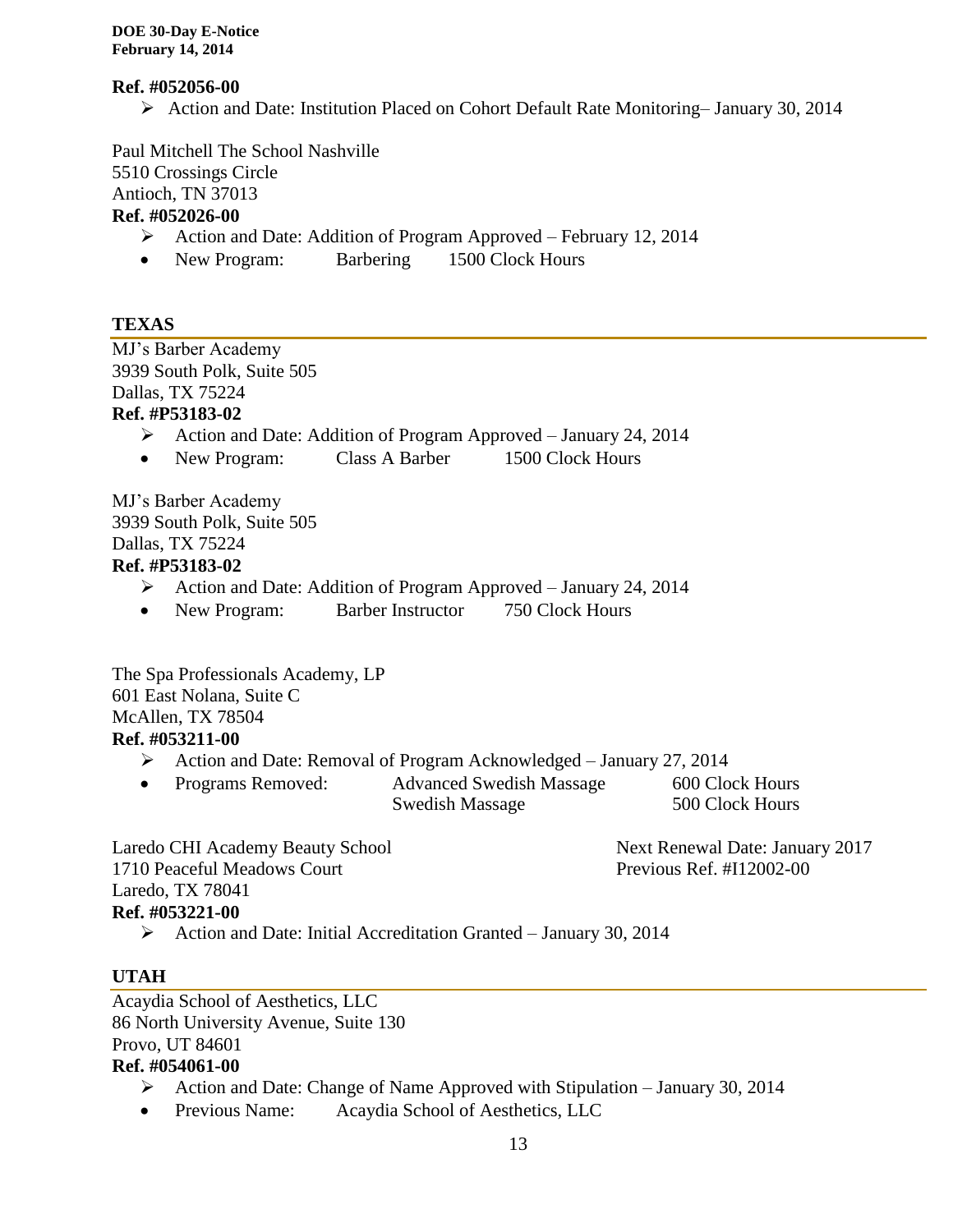#### **Ref. #052056-00**

Action and Date: Institution Placed on Cohort Default Rate Monitoring– January 30, 2014

Paul Mitchell The School Nashville 5510 Crossings Circle Antioch, TN 37013 **Ref. #052026-00**

- Action and Date: Addition of Program Approved February 12, 2014
- New Program: Barbering 1500 Clock Hours

## **TEXAS**

MJ's Barber Academy 3939 South Polk, Suite 505 Dallas, TX 75224 **Ref. #P53183-02**

- Action and Date: Addition of Program Approved January 24, 2014
- New Program: Class A Barber 1500 Clock Hours

MJ's Barber Academy 3939 South Polk, Suite 505 Dallas, TX 75224 **Ref. #P53183-02**

- Action and Date: Addition of Program Approved January 24, 2014
- New Program: Barber Instructor 750 Clock Hours

The Spa Professionals Academy, LP 601 East Nolana, Suite C McAllen, TX 78504 **Ref. #053211-00**

- Action and Date: Removal of Program Acknowledged January 27, 2014
- Programs Removed: Advanced Swedish Massage 600 Clock Hours Swedish Massage 500 Clock Hours

Laredo CHI Academy Beauty School Next Renewal Date: January 2017 1710 Peaceful Meadows Court Previous Ref. #I12002-00 Laredo, TX 78041 **Ref. #053221-00**

Action and Date: Initial Accreditation Granted – January 30, 2014

## **UTAH**

Acaydia School of Aesthetics, LLC 86 North University Avenue, Suite 130 Provo, UT 84601

- **Ref. #054061-00**
	- $\triangleright$  Action and Date: Change of Name Approved with Stipulation January 30, 2014
	- Previous Name: Acaydia School of Aesthetics, LLC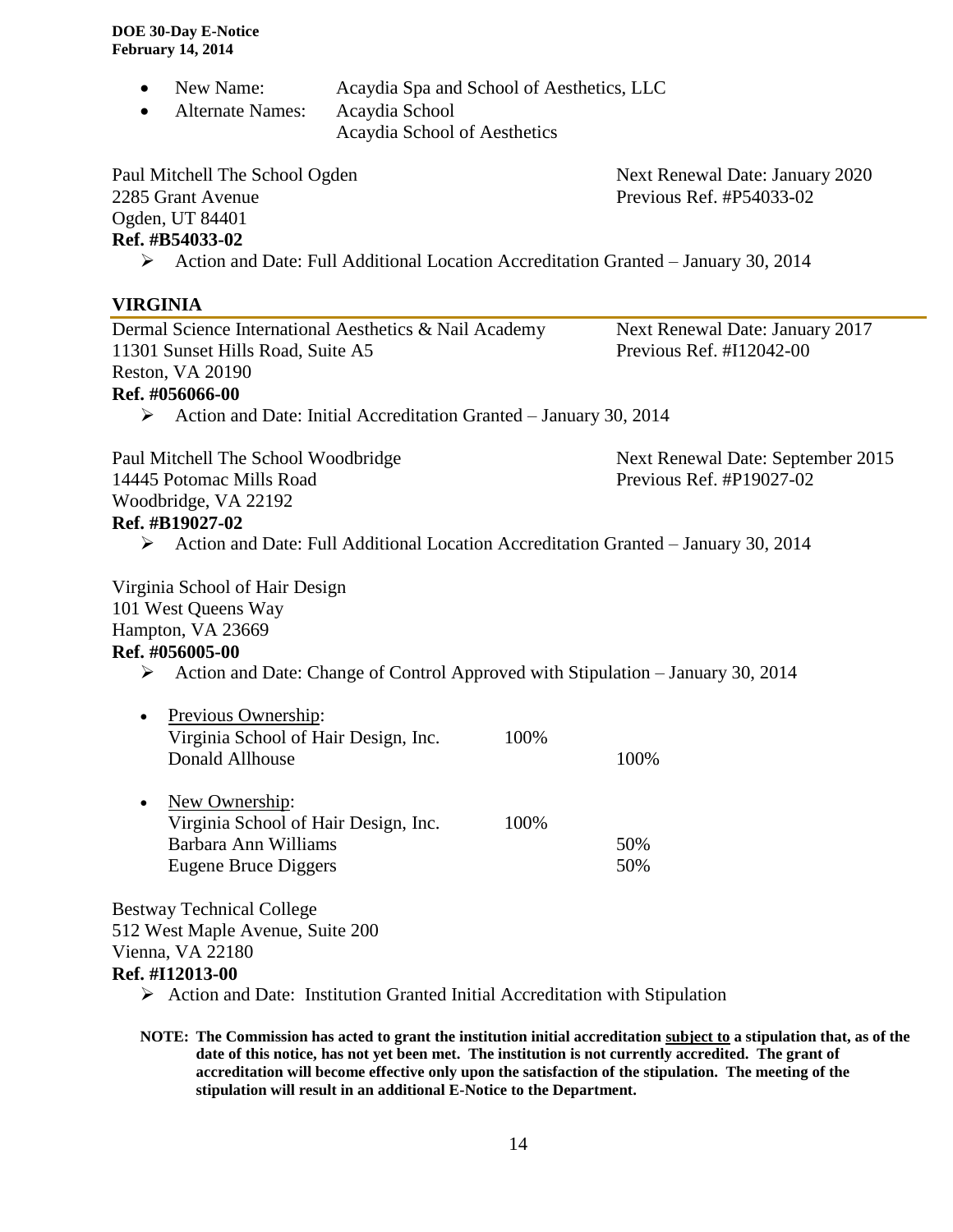- New Name: Acaydia Spa and School of Aesthetics, LLC
- Alternate Names: Acaydia School

Acaydia School of Aesthetics

Paul Mitchell The School Ogden Next Renewal Date: January 2020 2285 Grant Avenue Previous Ref. #P54033-02 Ogden, UT 84401

## **Ref. #B54033-02**

Action and Date: Full Additional Location Accreditation Granted – January 30, 2014

## **VIRGINIA**

| Dermal Science International Aesthetics & Nail Academy<br>11301 Sunset Hills Road, Suite A5      | Next Renewal Date: January 2017<br>Previous Ref. #I12042-00 |                                   |
|--------------------------------------------------------------------------------------------------|-------------------------------------------------------------|-----------------------------------|
| Reston, VA 20190                                                                                 |                                                             |                                   |
| Ref. #056066-00                                                                                  |                                                             |                                   |
| $\triangleright$ Action and Date: Initial Accreditation Granted – January 30, 2014               |                                                             |                                   |
| Paul Mitchell The School Woodbridge                                                              |                                                             | Next Renewal Date: September 2015 |
| 14445 Potomac Mills Road                                                                         |                                                             | Previous Ref. #P19027-02          |
| Woodbridge, VA 22192                                                                             |                                                             |                                   |
| Ref. #B19027-02                                                                                  |                                                             |                                   |
| Action and Date: Full Additional Location Accreditation Granted - January 30, 2014<br>≻          |                                                             |                                   |
| Virginia School of Hair Design                                                                   |                                                             |                                   |
| 101 West Queens Way                                                                              |                                                             |                                   |
| Hampton, VA 23669                                                                                |                                                             |                                   |
| Ref. #056005-00                                                                                  |                                                             |                                   |
| $\triangleright$ Action and Date: Change of Control Approved with Stipulation – January 30, 2014 |                                                             |                                   |
| Previous Ownership:<br>$\bullet$                                                                 |                                                             |                                   |
| Virginia School of Hair Design, Inc.                                                             | 100%                                                        |                                   |
| Donald Allhouse                                                                                  |                                                             | 100%                              |
| New Ownership:<br>$\bullet$                                                                      |                                                             |                                   |
| Virginia School of Hair Design, Inc.                                                             | 100%                                                        |                                   |
| Barbara Ann Williams                                                                             |                                                             | 50%                               |
| <b>Eugene Bruce Diggers</b>                                                                      |                                                             | 50%                               |
| <b>Bestway Technical College</b>                                                                 |                                                             |                                   |
| 512 West Maple Avenue, Suite 200                                                                 |                                                             |                                   |
| Vienna, VA 22180                                                                                 |                                                             |                                   |

#### **Ref. #I12013-00**

- $\triangleright$  Action and Date: Institution Granted Initial Accreditation with Stipulation
- **NOTE: The Commission has acted to grant the institution initial accreditation subject to a stipulation that, as of the date of this notice, has not yet been met. The institution is not currently accredited. The grant of accreditation will become effective only upon the satisfaction of the stipulation. The meeting of the stipulation will result in an additional E-Notice to the Department.**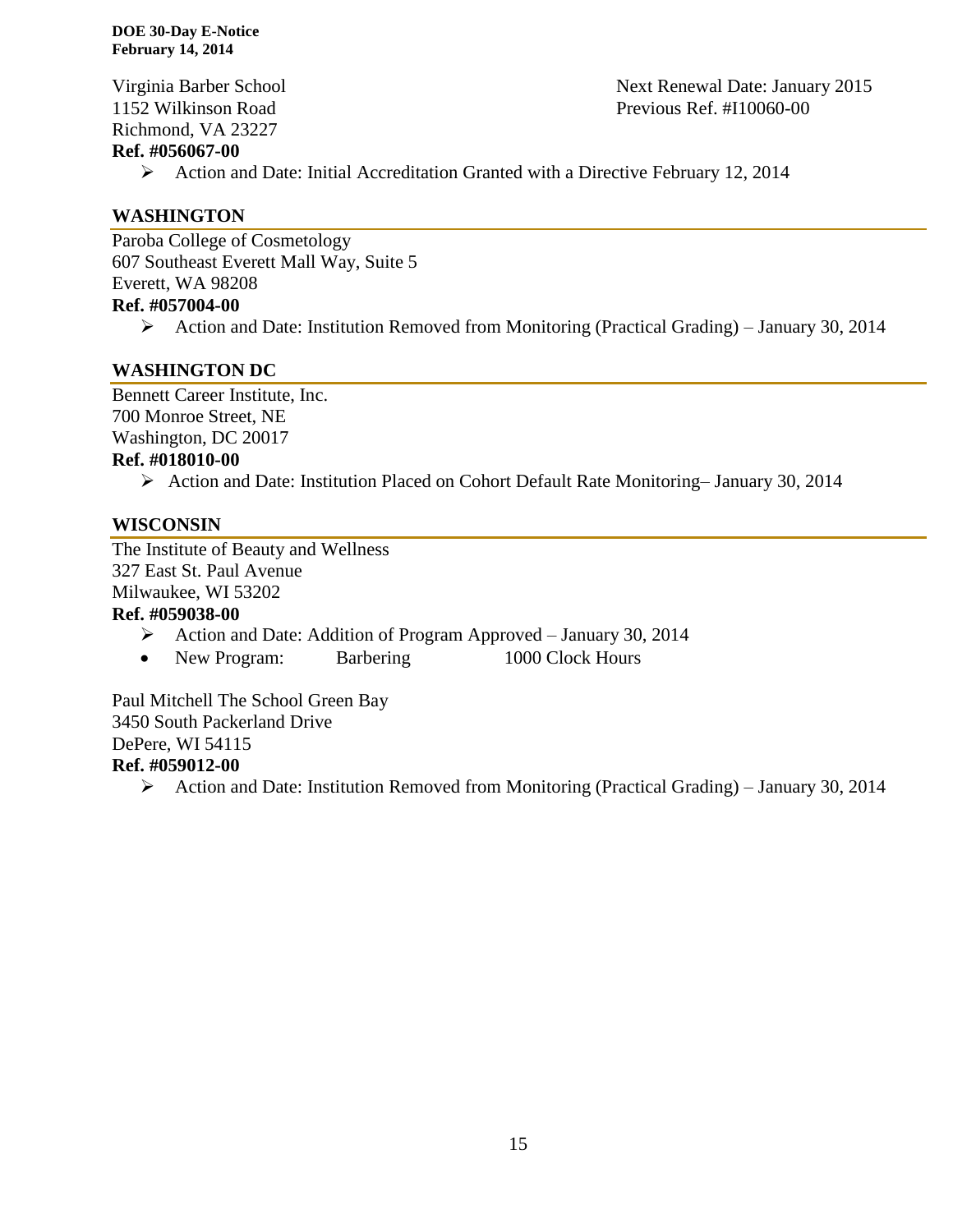Richmond, VA 23227

#### **Ref. #056067-00**

- Virginia Barber School Next Renewal Date: January 2015 1152 Wilkinson Road Previous Ref. #I10060-00
	- Action and Date: Initial Accreditation Granted with a Directive February 12, 2014

## **WASHINGTON**

Paroba College of Cosmetology 607 Southeast Everett Mall Way, Suite 5 Everett, WA 98208 **Ref. #057004-00**

Action and Date: Institution Removed from Monitoring (Practical Grading) – January 30, 2014

## **WASHINGTON DC**

Bennett Career Institute, Inc. 700 Monroe Street, NE Washington, DC 20017 **Ref. #018010-00**

Action and Date: Institution Placed on Cohort Default Rate Monitoring– January 30, 2014

## **WISCONSIN**

The Institute of Beauty and Wellness 327 East St. Paul Avenue Milwaukee, WI 53202

### **Ref. #059038-00**

- Action and Date: Addition of Program Approved January 30, 2014
- New Program: Barbering 1000 Clock Hours

Paul Mitchell The School Green Bay 3450 South Packerland Drive DePere, WI 54115 **Ref. #059012-00**

Action and Date: Institution Removed from Monitoring (Practical Grading) – January 30, 2014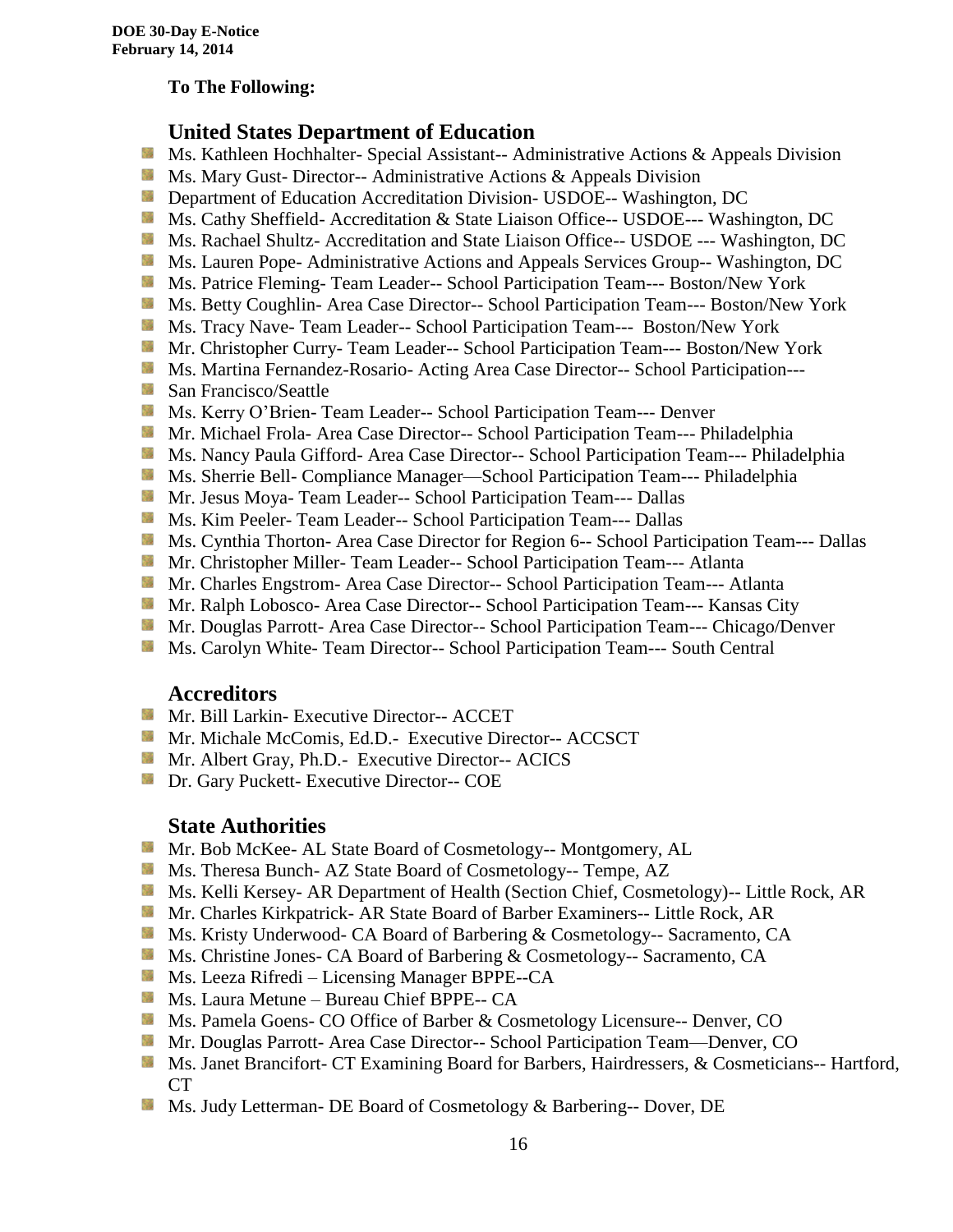#### **To The Following:**

## **United States Department of Education**

- **Ms. Kathleen Hochhalter- Special Assistant-- Administrative Actions & Appeals Division**
- **MS. Mary Gust- Director-- Administrative Actions & Appeals Division**
- **Department of Education Accreditation Division- USDOE-- Washington, DC**
- Ms. Cathy Sheffield- Accreditation & State Liaison Office-- USDOE--- Washington, DC
- **MS. Rachael Shultz- Accreditation and State Liaison Office-- USDOE --- Washington, DC**
- **Ms. Lauren Pope- Administrative Actions and Appeals Services Group-- Washington, DC**
- **Ms. Patrice Fleming- Team Leader-- School Participation Team--- Boston/New York**
- **MS. Betty Coughlin- Area Case Director-- School Participation Team--- Boston/New York**
- **MS. Tracy Nave-Team Leader-- School Participation Team--- Boston/New York**
- **Mr. Christopher Curry- Team Leader-- School Participation Team--- Boston/New York**
- Ms. Martina Fernandez-Rosario- Acting Area Case Director-- School Participation---
- **San Francisco/Seattle**
- **Ms. Kerry O'Brien- Team Leader-- School Participation Team--- Denver**
- **Mr. Michael Frola- Area Case Director-- School Participation Team--- Philadelphia**
- **MS. Nancy Paula Gifford- Area Case Director-- School Participation Team--- Philadelphia**
- Ms. Sherrie Bell- Compliance Manager—School Participation Team--- Philadelphia
- **Mr. Jesus Moya- Team Leader-- School Participation Team--- Dallas**
- **MS. Kim Peeler- Team Leader-- School Participation Team--- Dallas**
- **Ms. Cynthia Thorton- Area Case Director for Region 6-- School Participation Team--- Dallas**
- **Mr.** Christopher Miller-Team Leader-- School Participation Team--- Atlanta
- **Mr.** Charles Engstrom- Area Case Director-- School Participation Team--- Atlanta
- Mr. Ralph Lobosco- Area Case Director-- School Participation Team--- Kansas City
- **Mr. Douglas Parrott- Area Case Director-- School Participation Team--- Chicago/Denver**
- **MS. Carolyn White-Team Director-- School Participation Team--- South Central**

#### **Accreditors**

- **Mr. Bill Larkin- Executive Director-- ACCET**
- **Mr. Michale McComis, Ed.D.** Executive Director-- ACCSCT
- **Mr.** Albert Gray, Ph.D.- Executive Director-- ACICS
- **Dr.** Gary Puckett- Executive Director-- COE

#### **State Authorities**

- Mr. Bob McKee- AL State Board of Cosmetology-- Montgomery, AL
- Ms. Theresa Bunch- AZ State Board of Cosmetology-- Tempe, AZ
- **Ms. Kelli Kersey- AR Department of Health (Section Chief, Cosmetology)**-- Little Rock, AR
- Mr. Charles Kirkpatrick- AR State Board of Barber Examiners-- Little Rock, AR
- Ms. Kristy Underwood- CA Board of Barbering & Cosmetology-- Sacramento, CA
- **Ms.** Christine Jones- CA Board of Barbering & Cosmetology-- Sacramento, CA
- Ms. Leeza Rifredi Licensing Manager BPPE--CA
- **Ms. Laura Metune Bureau Chief BPPE-- CA**
- Ms. Pamela Goens- CO Office of Barber & Cosmetology Licensure-- Denver, CO
- Mr. Douglas Parrott- Area Case Director-- School Participation Team—Denver, CO
- **MS. Janet Brancifort- CT Examining Board for Barbers, Hairdressers, & Cosmeticians-- Hartford,** CT
- Ms. Judy Letterman- DE Board of Cosmetology & Barbering-- Dover, DE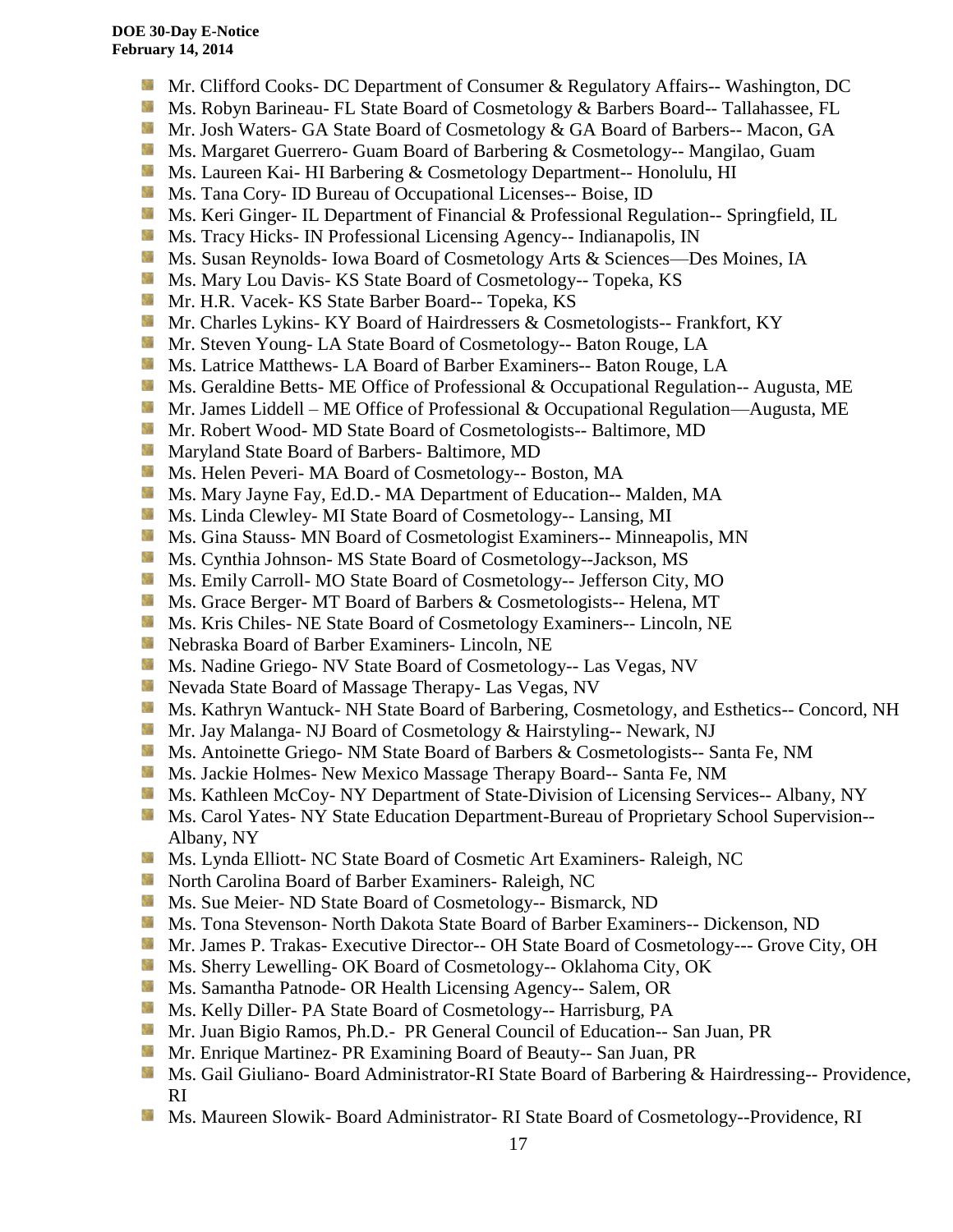- **Mr.** Clifford Cooks- DC Department of Consumer & Regulatory Affairs-- Washington, DC
- Ms. Robyn Barineau- FL State Board of Cosmetology & Barbers Board-- Tallahassee, FL
- Mr. Josh Waters- GA State Board of Cosmetology & GA Board of Barbers-- Macon, GA
- **Ms. Margaret Guerrero- Guam Board of Barbering & Cosmetology-- Mangilao, Guam**
- **Ms. Laureen Kai- HI Barbering & Cosmetology Department-- Honolulu, HI**
- **Ms.** Tana Cory- ID Bureau of Occupational Licenses-- Boise, ID
- **Ms. Keri Ginger- IL Department of Financial & Professional Regulation-- Springfield, IL**
- **Ms.** Tracy Hicks- IN Professional Licensing Agency-- Indianapolis, IN
- SS. Ms. Susan Reynolds- Iowa Board of Cosmetology Arts & Sciences—Des Moines, IA
- **Ms. Mary Lou Davis- KS State Board of Cosmetology-- Topeka, KS**
- **Mr. H.R. Vacek- KS State Barber Board-- Topeka, KS**
- 56 Mr. Charles Lykins- KY Board of Hairdressers & Cosmetologists-- Frankfort, KY
- Mr. Steven Young- LA State Board of Cosmetology-- Baton Rouge, LA
- **Ms. Latrice Matthews- LA Board of Barber Examiners-- Baton Rouge, LA**
- **Ms.** Geraldine Betts- ME Office of Professional & Occupational Regulation-- Augusta, ME
- Mr. James Liddell ME Office of Professional & Occupational Regulation—Augusta, ME
- **Mr.** Robert Wood- MD State Board of Cosmetologists-- Baltimore, MD
- **Maryland State Board of Barbers- Baltimore, MD**
- Ms. Helen Peveri- MA Board of Cosmetology-- Boston, MA
- Ms. Mary Jayne Fay, Ed.D.- MA Department of Education-- Malden, MA
- Ms. Linda Clewley- MI State Board of Cosmetology-- Lansing, MI
- **MS.** Gina Stauss- MN Board of Cosmetologist Examiners-- Minneapolis, MN
- Ms. Cynthia Johnson- MS State Board of Cosmetology--Jackson, MS
- Ms. Emily Carroll- MO State Board of Cosmetology-- Jefferson City, MO
- 59 Ms. Grace Berger- MT Board of Barbers & Cosmetologists-- Helena, MT
- **Ms. Kris Chiles- NE State Board of Cosmetology Examiners-- Lincoln, NE**
- **Nebraska Board of Barber Examiners- Lincoln, NE**
- Ms. Nadine Griego- NV State Board of Cosmetology-- Las Vegas, NV
- Nevada State Board of Massage Therapy- Las Vegas, NV
- Ms. Kathryn Wantuck- NH State Board of Barbering, Cosmetology, and Esthetics-- Concord, NH
- **Mr. Jay Malanga- NJ Board of Cosmetology & Hairstyling-- Newark, NJ**
- Ms. Antoinette Griego- NM State Board of Barbers & Cosmetologists-- Santa Fe, NM
- **Ms. Jackie Holmes- New Mexico Massage Therapy Board-- Santa Fe, NM**
- Ms. Kathleen McCoy- NY Department of State-Division of Licensing Services-- Albany, NY
- **Ms. Carol Yates- NY State Education Department-Bureau of Proprietary School Supervision--**Albany, NY
- **Ms. Lynda Elliott- NC State Board of Cosmetic Art Examiners- Raleigh, NC**
- **North Carolina Board of Barber Examiners- Raleigh, NC**
- **Ms.** Sue Meier- ND State Board of Cosmetology-- Bismarck, ND
- Ms. Tona Stevenson- North Dakota State Board of Barber Examiners-- Dickenson, ND
- **Mr. James P. Trakas- Executive Director-- OH State Board of Cosmetology--- Grove City, OH**
- Ms. Sherry Lewelling- OK Board of Cosmetology-- Oklahoma City, OK
- **Ms. Samantha Patnode- OR Health Licensing Agency-- Salem, OR**
- Ms. Kelly Diller- PA State Board of Cosmetology-- Harrisburg, PA
- Mr. Juan Bigio Ramos, Ph.D.- PR General Council of Education-- San Juan, PR
- **Mr.** Enrique Martinez- PR Examining Board of Beauty-- San Juan, PR
- Ms. Gail Giuliano- Board Administrator-RI State Board of Barbering & Hairdressing-- Providence, RI
- Ms. Maureen Slowik- Board Administrator- RI State Board of Cosmetology--Providence, RIS.